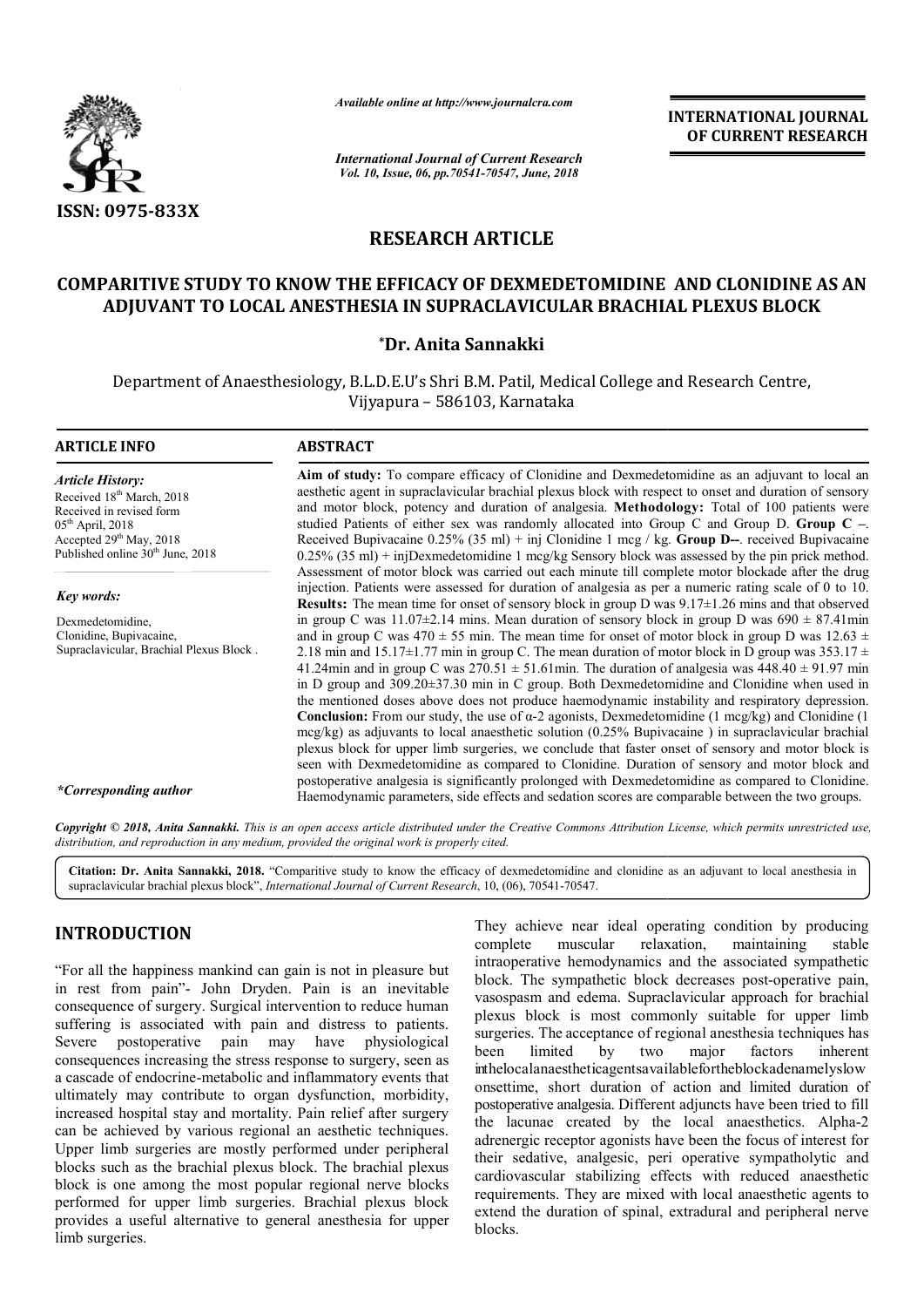

*Available online at http://www.journalcra.com*

*International Journal of Current Research Vol. 10, Issue, 06, pp.70541-70547, June, 2018*

**INTERNATIONAL JOURNAL OF CURRENT RESEARCH**

# **RESEARCH ARTICLE**

## **COMPARITIVE STUDY TO KNOW THE EFFICACY OF DEXMEDETOMIDINE AND CLONIDINE AS AN ADJUVANT TO LOCAL ANESTHESIA IN SUPRACLAVICULAR BRACHIAL PLEXUS BLOCK ADJUVANT TO LOCAL ANESTHESIA**

#### **\*Dr. Anita Sannakki**

Department of Anaesthesiology, B.L.D.E.U's Shri B.M. Patil, Medical College and Research Centre, Vijyapura – 586103, Karnataka

# **ARTICLE INFO ABSTRACT Aim of study:**  To compare efficacy of Clonidine and Dexmedetomidine as an adjuvant to local an Aim of study: To compare efficacy of Clonidine and Dexmedetomidine as an adjuvant to local an aesthetic agent in supraclavicular brachial plexus block with respect to onset and duration of sensory and motor block, potency and duration of analgesia. **Methodology:** Total of 100 patients were studied Patients of either sex was randomly allocated into Group C and Group D. Group C –. Received Bupivacaine 0.25% (35 ml) + inj Clonidine 1 mcg / kg. Group D--. received Bupivacaine  $0.25\%$  (35 ml) + injDexmedetomidine 1 mcg/kg Sensory block was assessed by the pin prick method. Assessment of motor block was carried out each minute till complete motor blockade after the drug injection. Patients were assessed for duration of analgesia as per a numeric rating scale of 0 to 10. **Results:** The mean time for onset of sensory block in group D was  $9.17 \pm 1.26$  mins and that observed in group C was  $11.07\pm2.14$  mins. Mean duration of sensory block in group D was  $690 \pm 87.41$ min and in group C was  $470 \pm 55$  min. The mean time for onset of motor block in group D was  $12.63 \pm 12.63$ 2.18 min and  $15.17 \pm 1.77$  min in group C. The mean duration of motor block in D group was  $353.17 \pm 1.79$ 41.24min and in group C was  $270.51 \pm 51.61$  min. The duration of analgesia was  $448.40 \pm 91.97$  min in D group and 309.20±37.30 min in C group. Both Dexmedetomidine and Clonidine when used in the mentioned doses above does not produce haemodynamic instability and respiratory depression. **Conclusion:** From our study, the use of α-2 agonists, Dexmedetomidine (1 mcg/kg) and Clonidine (1 mcg/kg) as adjuvants to local anaesthetic solution (0.25% Bupivacaine) in supraclavicular brachial plexus block for upper limb surgeries, we conclude that faster onset of sensory and motor block is seen with Dexmedetomidine as compared to Clonidine. Duration of sensory and motor block and postoperative analgesia is significantly prolonged with Dexmedetomidine as compared to Clonidine. Haemodynamic parameters, side effects and sedation scores are comparable between the two groups. *Article History:* Received 18<sup>th</sup> March, 2018 Received in revised form  $05<sup>th</sup>$  April, 2018 Accepted 29<sup>th</sup> May, 2018 Published online 30<sup>th</sup> June, 2018 *Key words:* Dexmedetomidine, Clonidine, Bupivacaine, Supraclavicular, Brachial Plexus Block . *\*Corresponding author* Assessment of motor block was carried out each minute till complete motor blockade after the drug injection. Patients were assessed for duration of analgesia as per a numeric rating scale of 0 to 10.<br>**Results:** The mean t the mentioned doses above does not produce haemodynamic instability and respiratory depression.<br>**Conclusion:** From our study, the use of  $\alpha$ -2 agonists, Dexmedetomidine (1 mcg/kg) and Clonidine (1 mcg/kg) as adjuvants to **INTERNATIONAL JOURNAL FORM SET AND ACCURATION CONSUMPARED CONTROL CONTROL CONTROL CONTROL (SET AND CLONIDINE AS AN<br>
ARTICLE PDEXIMEDETOMIDINE AND CLONIDINE AS AN<br>
CLAVICULAR BRACHIAL PLEXUS BLOCK<br>
THE CONTROL CONTROL CON**

Copyright © 2018, Anita Sannakki. This is an open access article distributed under the Creative Commons Attribution License, which permits unrestricted use, *distribution, and reproduction in any medium, provided the original work is properly cited.*

Citation: Dr. Anita Sannakki, 2018. "Comparitive study to know the efficacy of dexmedetomidine and clonidine as an adjuvant to local anesthesia in supraclavicular brachial plexus block", *International Journal of Current Research*, 10, (06), 70541-70547.

## **INTRODUCTION**

"For all the happiness mankind can gain is not in pleasure but in rest from pain"- John Dryden. Pain is an inevitable consequence of surgery. Surgical intervention to reduce human suffering is associated with pain and distress to patients. Severe postoperative pain may have physiological consequences increasing the stress response to surgery, seen as a cascade of endocrine-metabolic and inflammatory events that ultimately may contribute to organ dysfunction, morbidity, increased hospital stay and mortality. Pain relief after surgery can be achieved by various regional an aesthetic techniques. Upper limb surgeries are mostly performed under peripheral blocks such as the brachial plexus block. The brachial plexus block is one among the most popular regional nerve blocks performed for upper limb surgeries. Brachial plexus blo provides a useful alternative to general anesthesia for upper limb surgeries. tive pain may have physiological<br>asing the stress response to surgery, seen as<br>ine-metabolic and inflammatory events that<br>ntribute to organ dysfunction, morbidity,<br>tay and mortality. Pain relief after surgery<br>v various reg They achieve near ideal operating condition by producing complete muscular relaxation, maintaining stable intraoperative hemodynamics and the associated sympathetic block. The sympathetic block decreases post-operative pain, vasospasm and edema. Supraclavicular approach for brachial plexus block is most commonly suitable for upper limb surgeries. The acceptance of regional anesthesia techniques has been limited by two inthelocalanaestheticagentsavailablefortheblockadenamelyslow onsettime, short duration of action and limited duration of postoperative analgesia. Different adjuncts have been tried to fill the lacunae created by the local anaesthetics. Alpha-2 adrenergic receptor agonists have been the focus of interest for their sedative, analgesic, peri operative sympatholytic and cardiovascular stabilizing effects with reduced anaesthetic requirements. They are mixed with local anaesthetic agents to extend the duration of spinal, extradural and peripheral nerve blocks. ichieve near ideal operating condition by producing<br>te muscular relaxation, maintaining stable<br>erative hemodynamics and the associated sympathetic<br>The sympathetic block decreases post-operative pain, Supersime and edema. Supraclavicular approach for brachial block is most commonly suitable for upper limb s. The acceptance of regional anesthesia techniques has major factors inherent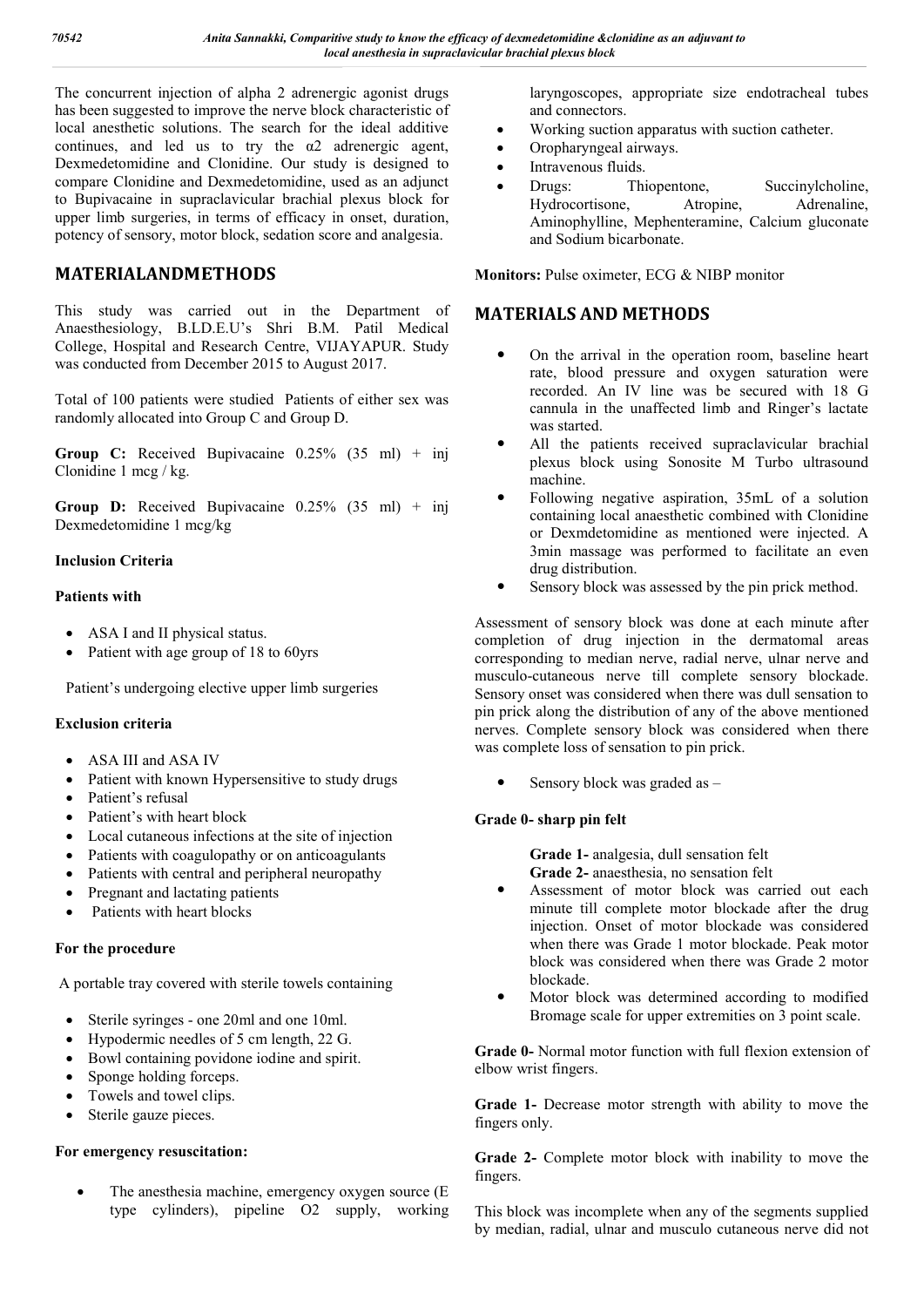The concurrent injection of alpha 2 adrenergic agonist drugs has been suggested to improve the nerve block characteristic of local anesthetic solutions. The search for the ideal additive continues, and led us to try the  $\alpha$ 2 adrenergic agent, Dexmedetomidine and Clonidine. Our study is designed to compare Clonidine and Dexmedetomidine, used as an adjunct to Bupivacaine in supraclavicular brachial plexus block for upper limb surgeries, in terms of efficacy in onset, duration, potency of sensory, motor block, sedation score and analgesia.

# **MATERIALANDMETHODS**

This study was carried out in the Department of Anaesthesiology, B.LD.E.U's Shri B.M. Patil Medical College, Hospital and Research Centre, VIJAYAPUR. Study was conducted from December 2015 to August 2017.

Total of 100 patients were studied Patients of either sex was randomly allocated into Group C and Group D.

**Group C:** Received Bupivacaine 0.25% (35 ml) + inj Clonidine 1 mcg / kg.

**Group D:** Received Bupivacaine 0.25% (35 ml) + inj Dexmedetomidine 1 mcg/kg

#### **Inclusion Criteria**

#### **Patients with**

- ASA I and II physical status.
- Patient with age group of 18 to 60yrs

Patient's undergoing elective upper limb surgeries

#### **Exclusion criteria**

- ASA III and ASA IV
- Patient with known Hypersensitive to study drugs
- Patient's refusal
- Patient's with heart block
- Local cutaneous infections at the site of injection
- Patients with coagulopathy or on anticoagulants
- Patients with central and peripheral neuropathy
- Pregnant and lactating patients
- Patients with heart blocks

#### **For the procedure**

A portable tray covered with sterile towels containing

- Sterile syringes one 20ml and one 10ml.
- Hypodermic needles of 5 cm length, 22 G.
- Bowl containing povidone iodine and spirit.
- Sponge holding forceps.
- Towels and towel clips.
- Sterile gauze pieces.

#### **For emergency resuscitation:**

 The anesthesia machine, emergency oxygen source (E type cylinders), pipeline O2 supply, working laryngoscopes, appropriate size endotracheal tubes and connectors.

- Working suction apparatus with suction catheter.
- Oropharyngeal airways.
- Intravenous fluids.
- Drugs: Thiopentone, Succinylcholine, Hydrocortisone, Atropine, Adrenaline, Aminophylline, Mephenteramine, Calcium gluconate and Sodium bicarbonate.

**Monitors:** Pulse oximeter, ECG & NIBP monitor

## **MATERIALS AND METHODS**

- On the arrival in the operation room, baseline heart rate, blood pressure and oxygen saturation were recorded. An IV line was be secured with 18 G cannula in the unaffected limb and Ringer's lactate was started.
- All the patients received supraclavicular brachial plexus block using Sonosite M Turbo ultrasound machine.
- Following negative aspiration, 35mL of a solution containing local anaesthetic combined with Clonidine or Dexmdetomidine as mentioned were injected. A 3min massage was performed to facilitate an even drug distribution.
- Sensory block was assessed by the pin prick method.

Assessment of sensory block was done at each minute after completion of drug injection in the dermatomal areas corresponding to median nerve, radial nerve, ulnar nerve and musculo-cutaneous nerve till complete sensory blockade. Sensory onset was considered when there was dull sensation to pin prick along the distribution of any of the above mentioned nerves. Complete sensory block was considered when there was complete loss of sensation to pin prick.

Sensory block was graded as –

## **Grade 0- sharp pin felt**

**Grade 1-** analgesia, dull sensation felt **Grade 2-** anaesthesia, no sensation felt

- Assessment of motor block was carried out each minute till complete motor blockade after the drug injection. Onset of motor blockade was considered when there was Grade 1 motor blockade. Peak motor block was considered when there was Grade 2 motor blockade.
- Motor block was determined according to modified Bromage scale for upper extremities on 3 point scale.

**Grade 0-** Normal motor function with full flexion extension of elbow wrist fingers.

**Grade 1-** Decrease motor strength with ability to move the fingers only.

**Grade 2-** Complete motor block with inability to move the fingers.

This block was incomplete when any of the segments supplied by median, radial, ulnar and musculo cutaneous nerve did not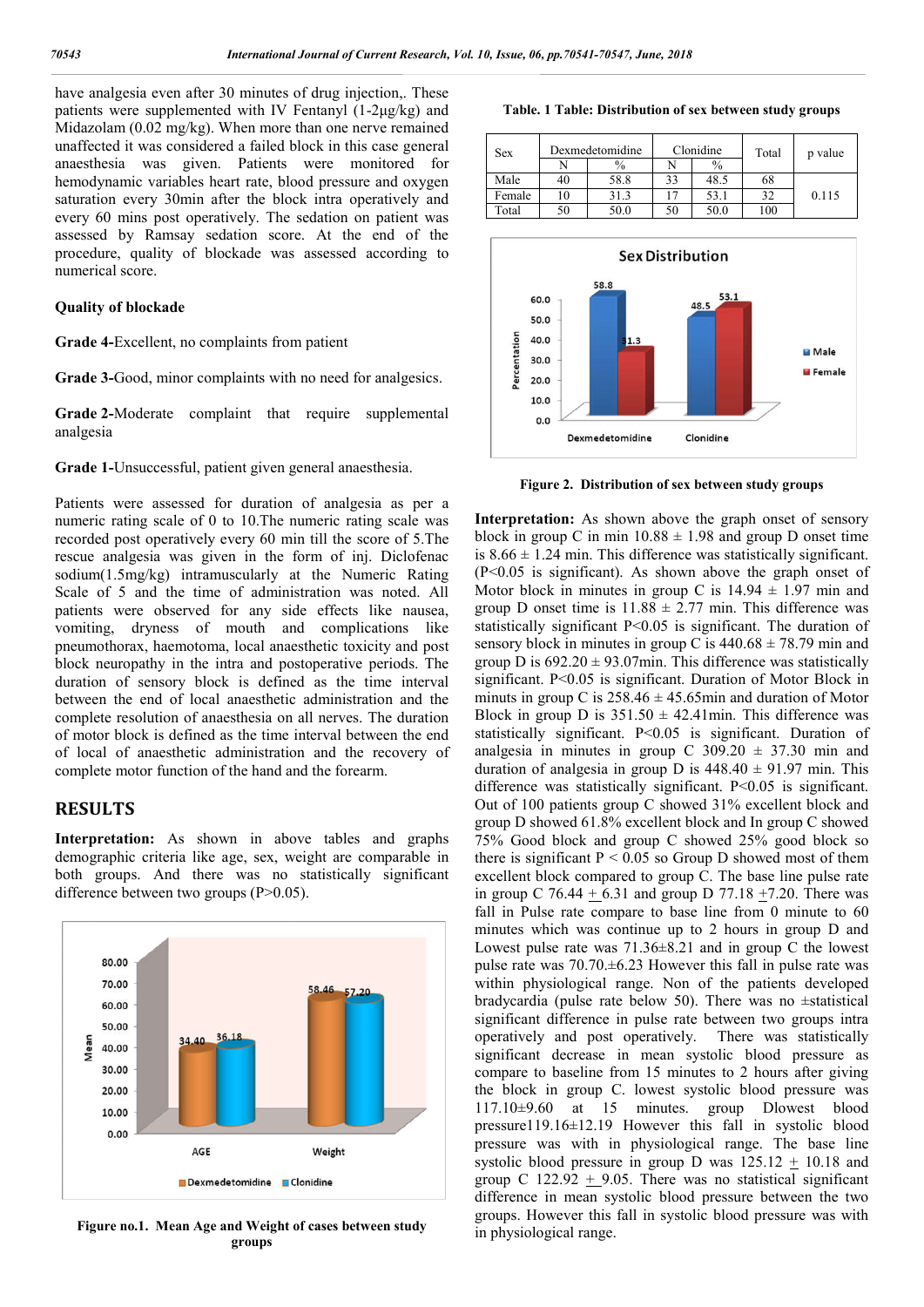have analgesia even after 30 minutes of drug injection,. These patients were supplemented with IV Fentanyl (1-2μg/kg) and Midazolam (0.02 mg/kg). When more than one nerve remained unaffected it was considered a failed block in this case general anaesthesia was given. Patients were monitored for hemodynamic variables heart rate, blood pressure and oxygen saturation every 30min after the block intra operatively and every 60 mins post operatively. The sedation on patient was assessed by Ramsay sedation score. At the end of the procedure, quality of blockade was assessed according to numerical score.

#### **Quality of blockade**

**Grade 4-**Excellent, no complaints from patient

**Grade 3-**Good, minor complaints with no need for analgesics.

**Grade 2-**Moderate complaint that require supplemental analgesia

**Grade 1-**Unsuccessful, patient given general anaesthesia.

Patients were assessed for duration of analgesia as per a numeric rating scale of 0 to 10.The numeric rating scale was recorded post operatively every 60 min till the score of 5.The rescue analgesia was given in the form of inj. Diclofenac sodium(1.5mg/kg) intramuscularly at the Numeric Rating Scale of 5 and the time of administration was noted. All patients were observed for any side effects like nausea, vomiting, dryness of mouth and complications like pneumothorax, haemotoma, local anaesthetic toxicity and post block neuropathy in the intra and postoperative periods. The duration of sensory block is defined as the time interval between the end of local anaesthetic administration and the complete resolution of anaesthesia on all nerves. The duration of motor block is defined as the time interval between the end of local of anaesthetic administration and the recovery of complete motor function of the hand and the forearm.

#### **RESULTS**

**Interpretation:** As shown in above tables and graphs demographic criteria like age, sex, weight are comparable in both groups. And there was no statistically significant difference between two groups (P>0.05).



**Figure no.1. Mean Age and Weight of cases between study groups**

|  |  |  | Table. 1 Table: Distribution of sex between study groups |  |  |  |  |  |  |
|--|--|--|----------------------------------------------------------|--|--|--|--|--|--|
|--|--|--|----------------------------------------------------------|--|--|--|--|--|--|

| Sex    |    | Dexmedetomidine | Clonidine |               | Total | p value |
|--------|----|-----------------|-----------|---------------|-------|---------|
|        |    | $\%$            |           | $\frac{0}{0}$ |       |         |
| Male   | 40 | 58.8            | 33        | 48.5          | 68    |         |
| Female | 10 | 31.3            |           | 53.1          | 27    | 0.115   |
| Total  | 50 | 50.0            | 50        | 50.0          | 100   |         |



**Figure 2. Distribution of sex between study groups**

Interpretation: As shown above the graph onset of sensory block in group C in min  $10.88 \pm 1.98$  and group D onset time is  $8.66 \pm 1.24$  min. This difference was statistically significant. (P<0.05 is significant). As shown above the graph onset of Motor block in minutes in group C is  $14.94 \pm 1.97$  min and group D onset time is  $11.88 \pm 2.77$  min. This difference was statistically significant P<0.05 is significant. The duration of sensory block in minutes in group C is  $440.68 \pm 78.79$  min and group D is  $692.20 \pm 93.07$  min. This difference was statistically significant. P<0.05 is significant. Duration of Motor Block in minuts in group C is  $258.46 \pm 45.65$  min and duration of Motor Block in group D is  $351.50 \pm 42.41$  min. This difference was statistically significant. P<0.05 is significant. Duration of analgesia in minutes in group C  $309.20 \pm 37.30$  min and duration of analgesia in group D is  $448.40 \pm 91.97$  min. This difference was statistically significant. P<0.05 is significant. Out of 100 patients group C showed 31% excellent block and group D showed 61.8% excellent block and In group C showed 75% Good block and group C showed 25% good block so there is significant  $P < 0.05$  so Group D showed most of them excellent block compared to group C. The base line pulse rate in group C 76.44 + 6.31 and group D 77.18 +7.20. There was fall in Pulse rate compare to base line from 0 minute to 60 minutes which was continue up to 2 hours in group D and Lowest pulse rate was  $71.36 \pm 8.21$  and in group C the lowest pulse rate was 70.70.±6.23 However this fall in pulse rate was within physiological range. Non of the patients developed bradycardia (pulse rate below 50). There was no ±statistical significant difference in pulse rate between two groups intra operatively and post operatively. There was statistically significant decrease in mean systolic blood pressure as compare to baseline from 15 minutes to 2 hours after giving the block in group C. lowest systolic blood pressure was 117.10±9.60 at 15 minutes. group Dlowest blood pressure119.16±12.19 However this fall in systolic blood pressure was with in physiological range. The base line systolic blood pressure in group D was  $125.12 \pm 10.18$  and group C 122.92  $+$  9.05. There was no statistical significant difference in mean systolic blood pressure between the two groups. However this fall in systolic blood pressure was with in physiological range.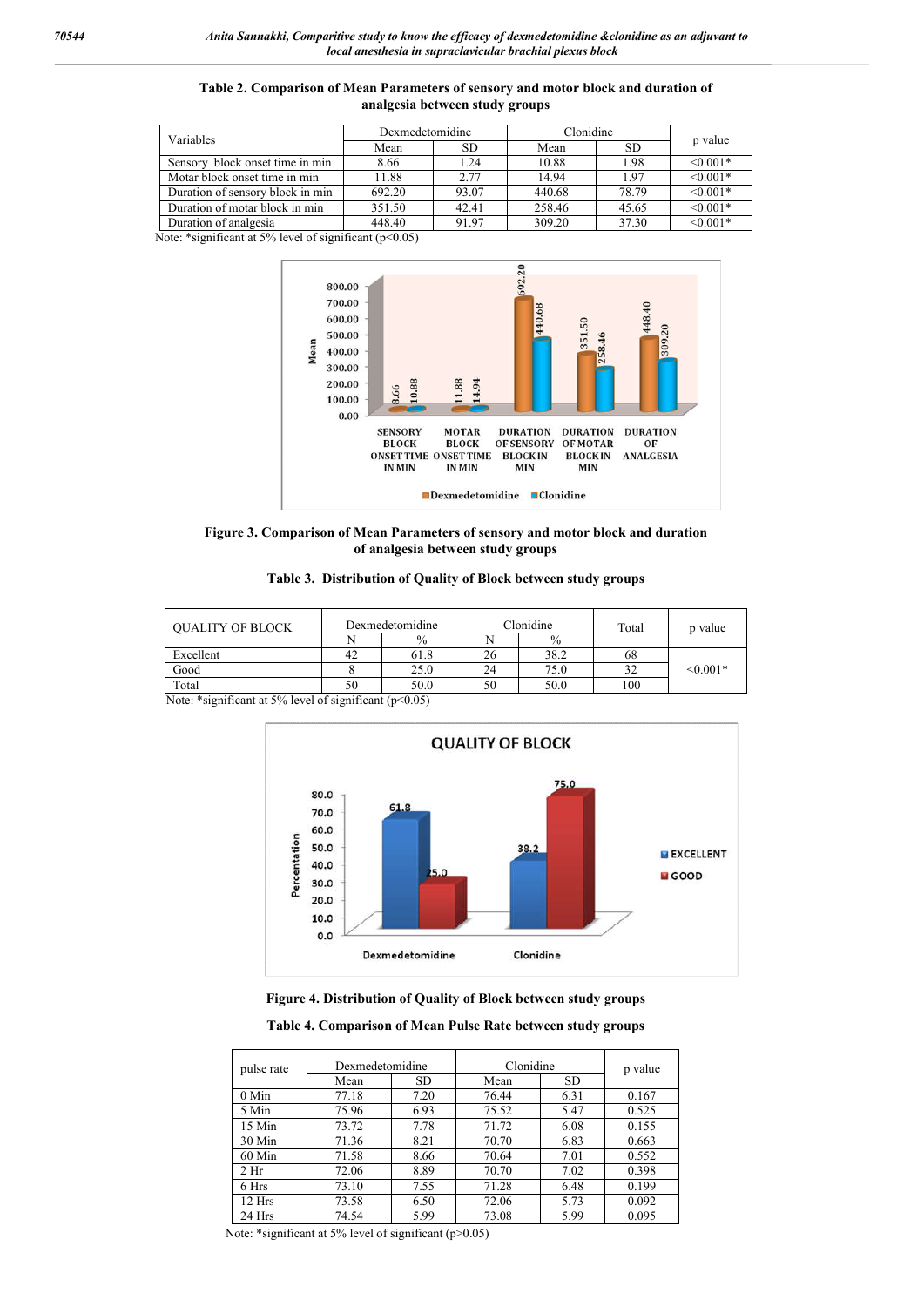| Variables                        | Dexmedetomidine |       | Clonidine |           |               |
|----------------------------------|-----------------|-------|-----------|-----------|---------------|
|                                  | Mean            | SD.   | Mean      | <b>SD</b> | p value       |
| Sensory block onset time in min  | 8.66            | 1.24  | 10.88     | 1.98      | $\leq 0.001*$ |
| Motar block onset time in min    | 11.88           | 2.77  | 14.94     | 1.97      | $< 0.001*$    |
| Duration of sensory block in min | 692.20          | 93.07 | 440.68    | 78.79     | $\leq 0.001*$ |
| Duration of motar block in min   | 351.50          | 42.41 | 258.46    | 45.65     | $< 0.001*$    |
| Duration of analgesia            | 448.40          | 9197  | 309.20    | 37.30     | $< 0.001*$    |

**Table 2. Comparison of Mean Parameters of sensory and motor block and duration of analgesia between study groups**

Note: \*significant at 5% level of significant (p<0.05)



**Figure 3. Comparison of Mean Parameters of sensory and motor block and duration of analgesia between study groups**

| <b>OUALITY OF BLOCK</b> |    | Dexmedetomidine | Clonidine |               | Total | p value    |  |
|-------------------------|----|-----------------|-----------|---------------|-------|------------|--|
|                         |    | $\frac{0}{0}$   |           | $\frac{0}{0}$ |       |            |  |
| Excellent               | 42 | 61.8            | 26        | 38.2          | 68    |            |  |
| Good                    |    | 25.0            | 24        | 75.0          | 32    | $< 0.001*$ |  |
| Total                   | 50 | 50.0            | 50        | 50.0          | 100   |            |  |

Note: \*significant at 5% level of significant (p<0.05)



**Figure 4. Distribution of Quality of Block between study groups**

**Table 4. Comparison of Mean Pulse Rate between study groups**

| pulse rate      | Dexmedetomidine |           | Clonidine | p value |       |
|-----------------|-----------------|-----------|-----------|---------|-------|
|                 | Mean            | <b>SD</b> | Mean      | SD.     |       |
| $0$ Min         | 77.18           | 7.20      | 76.44     | 6.31    | 0.167 |
| 5 Min           | 75.96           | 6.93      | 75.52     | 5.47    | 0.525 |
| 15 Min          | 73.72           | 7.78      | 71.72     | 6.08    | 0.155 |
| $30$ Min        | 71.36           | 8.21      | 70.70     | 6.83    | 0.663 |
| $60$ Min        | 71.58           | 8.66      | 70.64     | 7.01    | 0.552 |
| 2 <sub>hr</sub> | 72.06           | 8.89      | 70.70     | 7.02    | 0.398 |
| 6 Hrs           | 73.10           | 7.55      | 71.28     | 6.48    | 0.199 |
| 12 Hrs          | 73.58           | 6.50      | 72.06     | 5.73    | 0.092 |
| 24 Hrs          | 74.54           | 5.99      | 73.08     | 5.99    | 0.095 |

Note: \*significant at 5% level of significant (p>0.05)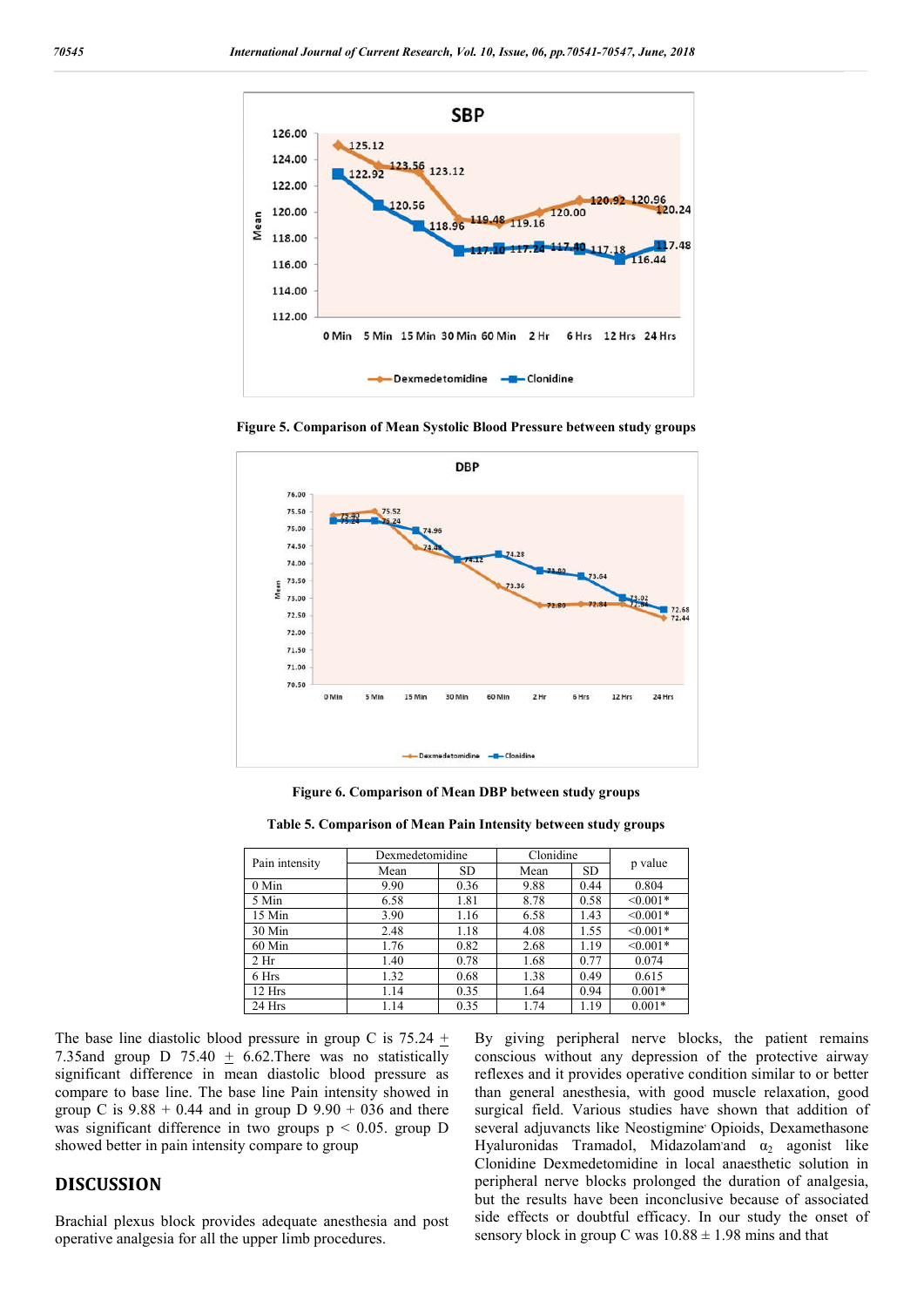

**Figure 5. Comparison of Mean Systolic Blood Pressure between study groups**



**Figure 6. Comparison of Mean DBP between study groups**

| Table 5. Comparison of Mean Pain Intensity between study groups |  |  |  |  |  |  |
|-----------------------------------------------------------------|--|--|--|--|--|--|
|-----------------------------------------------------------------|--|--|--|--|--|--|

|                 | Dexmedetomidine |           | Clonidine |      |            |  |
|-----------------|-----------------|-----------|-----------|------|------------|--|
| Pain intensity  | Mean            | <b>SD</b> | Mean      | SD.  | p value    |  |
| $0$ Min         | 9.90            | 0.36      | 9.88      | 0.44 | 0.804      |  |
| 5 Min           | 6.58            | 1.81      | 8.78      | 0.58 | $< 0.001*$ |  |
| 15 Min          | 3.90            | 1.16      | 6.58      | 1.43 | $< 0.001*$ |  |
| 30 Min          | 2.48            | 1.18      | 4.08      | 1.55 | $< 0.001*$ |  |
| 60 Min          | 1.76            | 0.82      | 2.68      | 1.19 | $< 0.001*$ |  |
| 2 <sub>hr</sub> | 1.40            | 0.78      | 1.68      | 0.77 | 0.074      |  |
| 6 Hrs           | 1.32            | 0.68      | 1.38      | 0.49 | 0.615      |  |
| 12 Hrs          | 1.14            | 0.35      | 1.64      | 0.94 | $0.001*$   |  |
| 24 Hrs          | 1.14            | 0.35      | 1.74      | 1.19 | $0.001*$   |  |

The base line diastolic blood pressure in group C is  $75.24 \pm$ 7.35and group D 75.40  $\pm$  6.62. There was no statistically significant difference in mean diastolic blood pressure as compare to base line. The base line Pain intensity showed in group C is  $9.88 + 0.44$  and in group D  $9.90 + 036$  and there was significant difference in two groups p < 0.05. group D showed better in pain intensity compare to group

#### **DISCUSSION**

Brachial plexus block provides adequate anesthesia and post operative analgesia for all the upper limb procedures.

By giving peripheral nerve blocks, the patient remains conscious without any depression of the protective airway reflexes and it provides operative condition similar to or better than general anesthesia, with good muscle relaxation, good surgical field. Various studies have shown that addition of several adjuvancts like Neostigmine<sup>,</sup> Opioids, Dexamethasone Hyaluronidas Tramadol, Midazolam and  $\alpha_2$  agonist like Clonidine Dexmedetomidine in local anaesthetic solution in peripheral nerve blocks prolonged the duration of analgesia, but the results have been inconclusive because of associated side effects or doubtful efficacy. In our study the onset of sensory block in group C was  $10.88 \pm 1.98$  mins and that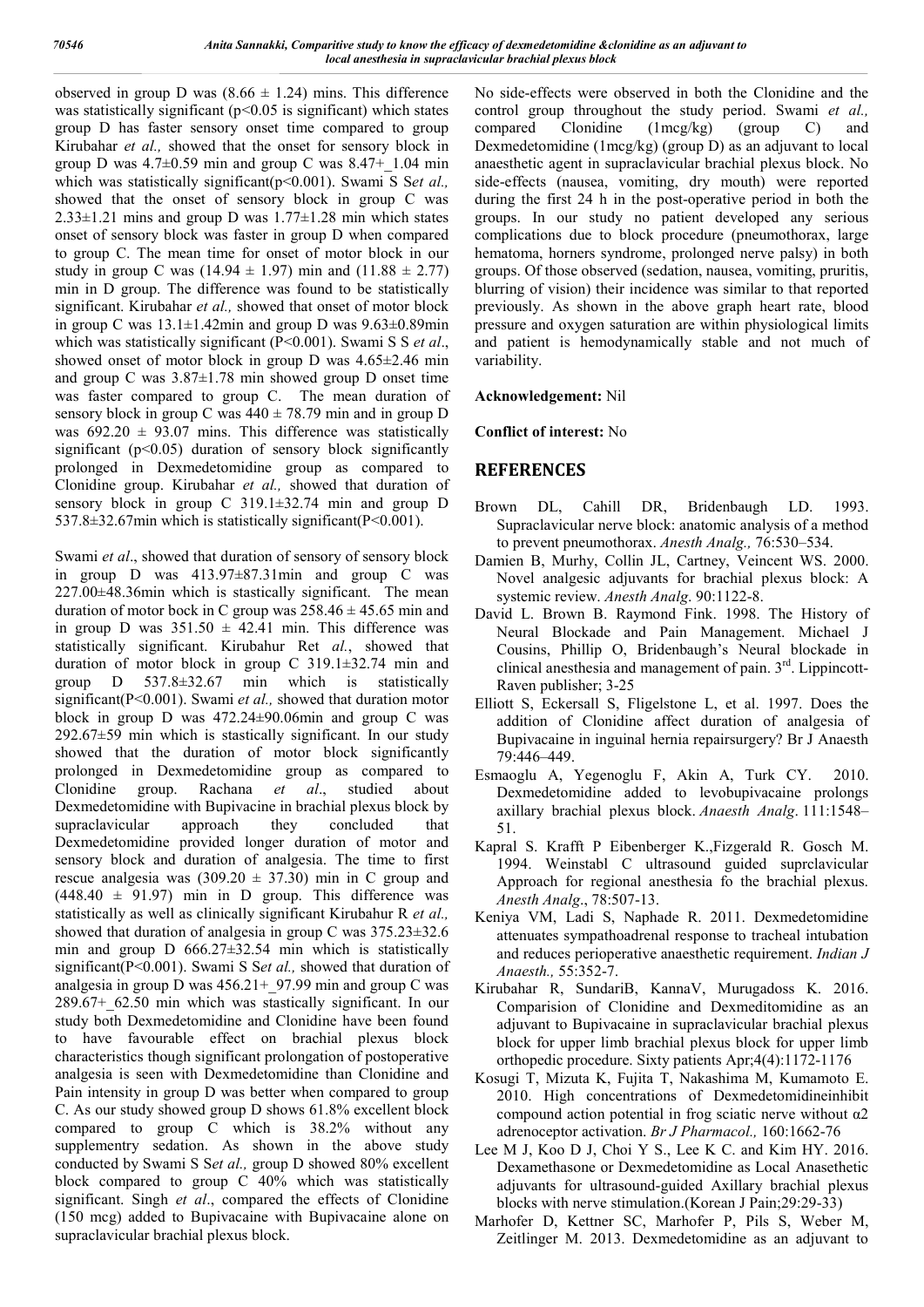observed in group D was  $(8.66 \pm 1.24)$  mins. This difference was statistically significant ( $p$ <0.05 is significant) which states group D has faster sensory onset time compared to group Kirubahar *et al.,* showed that the onset for sensory block in group D was  $4.7\pm0.59$  min and group C was  $8.47+1.04$  min which was statistically significant(p<0.001). Swami S Set al., showed that the onset of sensory block in group C was  $2.33\pm1.21$  mins and group D was  $1.77\pm1.28$  min which states onset of sensory block was faster in group D when compared to group C. The mean time for onset of motor block in our study in group C was  $(14.94 \pm 1.97)$  min and  $(11.88 \pm 2.77)$ min in D group. The difference was found to be statistically significant. Kirubahar *et al.,* showed that onset of motor block in group C was  $13.1 \pm 1.42$ min and group D was  $9.63 \pm 0.89$ min which was statistically significant (P<0.001). Swami S S *et al*., showed onset of motor block in group D was  $4.65\pm2.46$  min and group C was  $3.87 \pm 1.78$  min showed group D onset time was faster compared to group C. The mean duration of sensory block in group C was  $440 \pm 78.79$  min and in group D was  $692.20 \pm 93.07$  mins. This difference was statistically significant (p<0.05) duration of sensory block significantly prolonged in Dexmedetomidine group as compared to Clonidine group. Kirubahar *et al.,* showed that duration of sensory block in group C 319.1±32.74 min and group D  $537.8 \pm 32.67$  min which is statistically significant (P<0.001).

Swami *et al*., showed that duration of sensory of sensory block in group D was  $413.97 \pm 87.31$  min and group C was 227.00±48.36min which is stastically significant. The mean duration of motor bock in C group was  $258.46 \pm 45.65$  min and in group D was  $351.50 \pm 42.41$  min. This difference was statistically significant. Kirubahur Ret *al.*, showed that duration of motor block in group C 319.1±32.74 min and group D 537.8±32.67 min which is statistically significant(P<0.001). Swami *et al.,* showed that duration motor block in group D was 472.24±90.06min and group C was  $292.67\pm59$  min which is stastically significant. In our study showed that the duration of motor block significantly prolonged in Dexmedetomidine group as compared to Clonidine group. Rachana *et al*., studied about Dexmedetomidine with Bupivacine in brachial plexus block by supraclavicular approach they concluded that Dexmedetomidine provided longer duration of motor and sensory block and duration of analgesia. The time to first rescue analgesia was  $(309.20 \pm 37.30)$  min in C group and  $(448.40 \pm 91.97)$  min in D group. This difference was statistically as well as clinically significant Kirubahur R *et al.,* showed that duration of analgesia in group C was 375.23±32.6 min and group D  $666.27 \pm 32.54$  min which is statistically significant(P<0.001). Swami S S*et al.,* showed that duration of analgesia in group D was  $456.21+97.99$  min and group C was 289.67+\_62.50 min which was stastically significant. In our study both Dexmedetomidine and Clonidine have been found to have favourable effect on brachial plexus block characteristics though significant prolongation of postoperative analgesia is seen with Dexmedetomidine than Clonidine and Pain intensity in group D was better when compared to group C. As our study showed group D shows 61.8% excellent block compared to group C which is 38.2% without any supplementry sedation. As shown in the above study conducted by Swami S S*et al.,* group D showed 80% excellent block compared to group  $C$  40% which was statistically significant. Singh *et al*., compared the effects of Clonidine (150 mcg) added to Bupivacaine with Bupivacaine alone on supraclavicular brachial plexus block.

No side-effects were observed in both the Clonidine and the control group throughout the study period. Swami *et al.*, compared Clonidine (1mcg/kg) (group C) and compared Clonidine (1mcg/kg) (group C) and Dexmedetomidine (1mcg/kg) (group D) as an adjuvant to local anaesthetic agent in supraclavicular brachial plexus block. No side-effects (nausea, vomiting, dry mouth) were reported during the first 24 h in the post-operative period in both the groups. In our study no patient developed any serious complications due to block procedure (pneumothorax, large hematoma, horners syndrome, prolonged nerve palsy) in both groups. Of those observed (sedation, nausea, vomiting, pruritis, blurring of vision) their incidence was similar to that reported previously. As shown in the above graph heart rate, blood pressure and oxygen saturation are within physiological limits and patient is hemodynamically stable and not much of variability.

#### **Acknowledgement:** Nil

**Conflict of interest:** No

#### **REFERENCES**

- Brown DL, Cahill DR, Bridenbaugh LD. 1993. Supraclavicular nerve block: anatomic analysis of a method to prevent pneumothorax. *Anesth Analg.,* 76:530–534.
- Damien B, Murhy, Collin JL, Cartney, Veincent WS. 2000. Novel analgesic adjuvants for brachial plexus block: A systemic review. *Anesth Analg*. 90:1122-8.
- David L. Brown B. Raymond Fink. 1998. The History of Neural Blockade and Pain Management. Michael J Cousins, Phillip O, Bridenbaugh's Neural blockade in clinical anesthesia and management of pain. 3<sup>rd</sup>. Lippincott-Raven publisher; 3-25
- Elliott S, Eckersall S, Fligelstone L, et al. 1997. Does the addition of Clonidine affect duration of analgesia of Bupivacaine in inguinal hernia repairsurgery? Br J Anaesth 79:446–449.
- Esmaoglu A, Yegenoglu F, Akin A, Turk CY. 2010. Dexmedetomidine added to levobupivacaine prolongs axillary brachial plexus block. *Anaesth Analg*. 111:1548– 51.
- Kapral S. Krafft P Eibenberger K.,Fizgerald R. Gosch M. 1994. Weinstabl C ultrasound guided suprclavicular Approach for regional anesthesia fo the brachial plexus. *Anesth Analg*., 78:507-13.
- Keniya VM, Ladi S, Naphade R. 2011. Dexmedetomidine attenuates sympathoadrenal response to tracheal intubation and reduces perioperative anaesthetic requirement. *Indian J Anaesth.,* 55:352-7.
- Kirubahar R, SundariB, KannaV, Murugadoss K. 2016. Comparision of Clonidine and Dexmeditomidine as an adjuvant to Bupivacaine in supraclavicular brachial plexus block for upper limb brachial plexus block for upper limb orthopedic procedure. Sixty patients Apr;4(4):1172-1176
- Kosugi T, Mizuta K, Fujita T, Nakashima M, Kumamoto E. 2010. High concentrations of Dexmedetomidineinhibit compound action potential in frog sciatic nerve without α2 adrenoceptor activation. *Br J Pharmacol.,* 160:1662-76
- Lee M J, Koo D J, Choi Y S., Lee K C. and Kim HY. 2016. Dexamethasone or Dexmedetomidine as Local Anasethetic adjuvants for ultrasound-guided Axillary brachial plexus blocks with nerve stimulation.(Korean J Pain;29:29-33)
- Marhofer D, Kettner SC, Marhofer P, Pils S, Weber M, Zeitlinger M. 2013. Dexmedetomidine as an adjuvant to